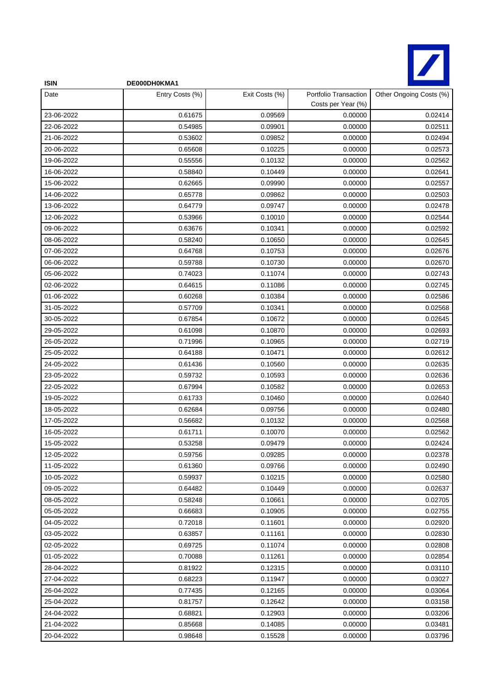

| <b>ISIN</b> | DE000DH0KMA1    |                |                                             |                         |
|-------------|-----------------|----------------|---------------------------------------------|-------------------------|
| Date        | Entry Costs (%) | Exit Costs (%) | Portfolio Transaction<br>Costs per Year (%) | Other Ongoing Costs (%) |
| 23-06-2022  | 0.61675         | 0.09569        | 0.00000                                     | 0.02414                 |
| 22-06-2022  | 0.54985         | 0.09901        | 0.00000                                     | 0.02511                 |
| 21-06-2022  | 0.53602         | 0.09852        | 0.00000                                     | 0.02494                 |
| 20-06-2022  | 0.65608         | 0.10225        | 0.00000                                     | 0.02573                 |
| 19-06-2022  | 0.55556         | 0.10132        | 0.00000                                     | 0.02562                 |
| 16-06-2022  | 0.58840         | 0.10449        | 0.00000                                     | 0.02641                 |
| 15-06-2022  | 0.62665         | 0.09990        | 0.00000                                     | 0.02557                 |
| 14-06-2022  | 0.65778         | 0.09862        | 0.00000                                     | 0.02503                 |
| 13-06-2022  | 0.64779         | 0.09747        | 0.00000                                     | 0.02478                 |
| 12-06-2022  | 0.53966         | 0.10010        | 0.00000                                     | 0.02544                 |
| 09-06-2022  | 0.63676         | 0.10341        | 0.00000                                     | 0.02592                 |
| 08-06-2022  | 0.58240         | 0.10650        | 0.00000                                     | 0.02645                 |
| 07-06-2022  | 0.64768         | 0.10753        | 0.00000                                     | 0.02676                 |
| 06-06-2022  | 0.59788         | 0.10730        | 0.00000                                     | 0.02670                 |
| 05-06-2022  | 0.74023         | 0.11074        | 0.00000                                     | 0.02743                 |
| 02-06-2022  | 0.64615         | 0.11086        | 0.00000                                     | 0.02745                 |
| 01-06-2022  | 0.60268         | 0.10384        | 0.00000                                     | 0.02586                 |
| 31-05-2022  | 0.57709         | 0.10341        | 0.00000                                     | 0.02568                 |
| 30-05-2022  | 0.67854         | 0.10672        | 0.00000                                     | 0.02645                 |
| 29-05-2022  | 0.61098         | 0.10870        | 0.00000                                     | 0.02693                 |
| 26-05-2022  | 0.71996         | 0.10965        | 0.00000                                     | 0.02719                 |
| 25-05-2022  | 0.64188         | 0.10471        | 0.00000                                     | 0.02612                 |
| 24-05-2022  | 0.61436         | 0.10560        | 0.00000                                     | 0.02635                 |
| 23-05-2022  | 0.59732         | 0.10593        | 0.00000                                     | 0.02636                 |
| 22-05-2022  | 0.67994         | 0.10582        | 0.00000                                     | 0.02653                 |
| 19-05-2022  | 0.61733         | 0.10460        | 0.00000                                     | 0.02640                 |
| 18-05-2022  | 0.62684         | 0.09756        | 0.00000                                     | 0.02480                 |
| 17-05-2022  | 0.56682         | 0.10132        | 0.00000                                     | 0.02568                 |
| 16-05-2022  | 0.61711         | 0.10070        | 0.00000                                     | 0.02562                 |
| 15-05-2022  | 0.53258         | 0.09479        | 0.00000                                     | 0.02424                 |
| 12-05-2022  | 0.59756         | 0.09285        | 0.00000                                     | 0.02378                 |
| 11-05-2022  | 0.61360         | 0.09766        | 0.00000                                     | 0.02490                 |
| 10-05-2022  | 0.59937         | 0.10215        | 0.00000                                     | 0.02580                 |
| 09-05-2022  | 0.64482         | 0.10449        | 0.00000                                     | 0.02637                 |
| 08-05-2022  | 0.58248         | 0.10661        | 0.00000                                     | 0.02705                 |
| 05-05-2022  | 0.66683         | 0.10905        | 0.00000                                     | 0.02755                 |
| 04-05-2022  | 0.72018         | 0.11601        | 0.00000                                     | 0.02920                 |
| 03-05-2022  | 0.63857         | 0.11161        | 0.00000                                     | 0.02830                 |
| 02-05-2022  | 0.69725         | 0.11074        | 0.00000                                     | 0.02808                 |
| 01-05-2022  | 0.70088         | 0.11261        | 0.00000                                     | 0.02854                 |
| 28-04-2022  | 0.81922         | 0.12315        | 0.00000                                     | 0.03110                 |
| 27-04-2022  | 0.68223         | 0.11947        | 0.00000                                     | 0.03027                 |
| 26-04-2022  | 0.77435         | 0.12165        | 0.00000                                     | 0.03064                 |
| 25-04-2022  | 0.81757         | 0.12642        | 0.00000                                     | 0.03158                 |
| 24-04-2022  | 0.68821         | 0.12903        | 0.00000                                     | 0.03206                 |
| 21-04-2022  | 0.85668         | 0.14085        | 0.00000                                     | 0.03481                 |
| 20-04-2022  | 0.98648         | 0.15528        | 0.00000                                     | 0.03796                 |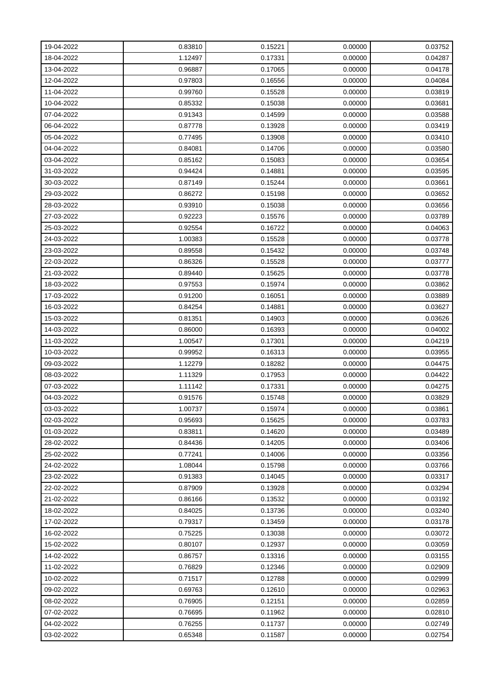| 19-04-2022 | 0.83810 | 0.15221 | 0.00000 | 0.03752 |
|------------|---------|---------|---------|---------|
| 18-04-2022 | 1.12497 | 0.17331 | 0.00000 | 0.04287 |
| 13-04-2022 | 0.96887 | 0.17065 | 0.00000 | 0.04178 |
| 12-04-2022 | 0.97803 | 0.16556 | 0.00000 | 0.04084 |
| 11-04-2022 | 0.99760 | 0.15528 | 0.00000 | 0.03819 |
| 10-04-2022 | 0.85332 | 0.15038 | 0.00000 | 0.03681 |
| 07-04-2022 | 0.91343 | 0.14599 | 0.00000 | 0.03588 |
| 06-04-2022 | 0.87778 | 0.13928 | 0.00000 | 0.03419 |
| 05-04-2022 | 0.77495 | 0.13908 | 0.00000 | 0.03410 |
| 04-04-2022 | 0.84081 | 0.14706 | 0.00000 | 0.03580 |
| 03-04-2022 | 0.85162 | 0.15083 | 0.00000 | 0.03654 |
| 31-03-2022 | 0.94424 | 0.14881 | 0.00000 | 0.03595 |
| 30-03-2022 | 0.87149 | 0.15244 | 0.00000 | 0.03661 |
| 29-03-2022 | 0.86272 | 0.15198 | 0.00000 | 0.03652 |
| 28-03-2022 | 0.93910 | 0.15038 | 0.00000 | 0.03656 |
| 27-03-2022 | 0.92223 | 0.15576 | 0.00000 | 0.03789 |
| 25-03-2022 | 0.92554 | 0.16722 | 0.00000 | 0.04063 |
| 24-03-2022 | 1.00383 | 0.15528 | 0.00000 | 0.03778 |
| 23-03-2022 | 0.89558 | 0.15432 | 0.00000 | 0.03748 |
| 22-03-2022 | 0.86326 | 0.15528 | 0.00000 | 0.03777 |
| 21-03-2022 | 0.89440 | 0.15625 | 0.00000 | 0.03778 |
| 18-03-2022 | 0.97553 | 0.15974 | 0.00000 | 0.03862 |
| 17-03-2022 | 0.91200 | 0.16051 | 0.00000 | 0.03889 |
| 16-03-2022 | 0.84254 | 0.14881 | 0.00000 | 0.03627 |
| 15-03-2022 | 0.81351 | 0.14903 | 0.00000 | 0.03626 |
| 14-03-2022 | 0.86000 | 0.16393 | 0.00000 | 0.04002 |
| 11-03-2022 | 1.00547 | 0.17301 | 0.00000 | 0.04219 |
| 10-03-2022 | 0.99952 | 0.16313 | 0.00000 | 0.03955 |
| 09-03-2022 | 1.12279 | 0.18282 | 0.00000 | 0.04475 |
| 08-03-2022 | 1.11329 | 0.17953 | 0.00000 | 0.04422 |
| 07-03-2022 | 1.11142 | 0.17331 | 0.00000 | 0.04275 |
| 04-03-2022 | 0.91576 | 0.15748 | 0.00000 | 0.03829 |
| 03-03-2022 | 1.00737 | 0.15974 | 0.00000 | 0.03861 |
| 02-03-2022 | 0.95693 | 0.15625 | 0.00000 | 0.03783 |
| 01-03-2022 | 0.83811 | 0.14620 | 0.00000 | 0.03489 |
| 28-02-2022 | 0.84436 | 0.14205 | 0.00000 | 0.03406 |
| 25-02-2022 | 0.77241 | 0.14006 | 0.00000 | 0.03356 |
| 24-02-2022 | 1.08044 | 0.15798 | 0.00000 | 0.03766 |
| 23-02-2022 | 0.91383 | 0.14045 | 0.00000 | 0.03317 |
| 22-02-2022 | 0.87909 | 0.13928 | 0.00000 | 0.03294 |
| 21-02-2022 | 0.86166 | 0.13532 | 0.00000 | 0.03192 |
| 18-02-2022 | 0.84025 | 0.13736 | 0.00000 | 0.03240 |
| 17-02-2022 | 0.79317 | 0.13459 | 0.00000 | 0.03178 |
| 16-02-2022 | 0.75225 | 0.13038 | 0.00000 | 0.03072 |
| 15-02-2022 | 0.80107 | 0.12937 | 0.00000 | 0.03059 |
| 14-02-2022 | 0.86757 | 0.13316 | 0.00000 | 0.03155 |
| 11-02-2022 | 0.76829 | 0.12346 | 0.00000 | 0.02909 |
| 10-02-2022 | 0.71517 | 0.12788 | 0.00000 | 0.02999 |
| 09-02-2022 | 0.69763 | 0.12610 | 0.00000 | 0.02963 |
| 08-02-2022 | 0.76905 | 0.12151 | 0.00000 | 0.02859 |
| 07-02-2022 | 0.76695 | 0.11962 | 0.00000 | 0.02810 |
| 04-02-2022 | 0.76255 | 0.11737 | 0.00000 | 0.02749 |
| 03-02-2022 | 0.65348 | 0.11587 | 0.00000 | 0.02754 |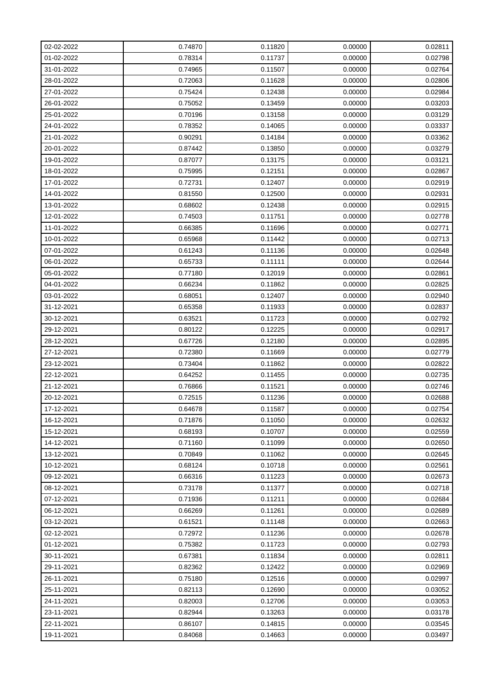| 02-02-2022 | 0.74870 | 0.11820 | 0.00000 | 0.02811 |
|------------|---------|---------|---------|---------|
| 01-02-2022 | 0.78314 | 0.11737 | 0.00000 | 0.02798 |
| 31-01-2022 | 0.74965 | 0.11507 | 0.00000 | 0.02764 |
| 28-01-2022 | 0.72063 | 0.11628 | 0.00000 | 0.02806 |
| 27-01-2022 | 0.75424 | 0.12438 | 0.00000 | 0.02984 |
| 26-01-2022 | 0.75052 | 0.13459 | 0.00000 | 0.03203 |
| 25-01-2022 | 0.70196 | 0.13158 | 0.00000 | 0.03129 |
| 24-01-2022 | 0.78352 | 0.14065 | 0.00000 | 0.03337 |
| 21-01-2022 | 0.90291 | 0.14184 | 0.00000 | 0.03362 |
| 20-01-2022 | 0.87442 | 0.13850 | 0.00000 | 0.03279 |
| 19-01-2022 | 0.87077 | 0.13175 | 0.00000 | 0.03121 |
| 18-01-2022 | 0.75995 | 0.12151 | 0.00000 | 0.02867 |
| 17-01-2022 | 0.72731 | 0.12407 | 0.00000 | 0.02919 |
| 14-01-2022 | 0.81550 | 0.12500 | 0.00000 | 0.02931 |
| 13-01-2022 | 0.68602 | 0.12438 | 0.00000 | 0.02915 |
| 12-01-2022 | 0.74503 | 0.11751 | 0.00000 | 0.02778 |
| 11-01-2022 | 0.66385 | 0.11696 | 0.00000 | 0.02771 |
| 10-01-2022 | 0.65968 | 0.11442 | 0.00000 | 0.02713 |
| 07-01-2022 | 0.61243 | 0.11136 | 0.00000 | 0.02648 |
| 06-01-2022 | 0.65733 | 0.11111 | 0.00000 | 0.02644 |
| 05-01-2022 | 0.77180 | 0.12019 | 0.00000 | 0.02861 |
| 04-01-2022 | 0.66234 | 0.11862 | 0.00000 | 0.02825 |
| 03-01-2022 | 0.68051 | 0.12407 | 0.00000 | 0.02940 |
| 31-12-2021 | 0.65358 | 0.11933 | 0.00000 | 0.02837 |
| 30-12-2021 | 0.63521 | 0.11723 | 0.00000 | 0.02792 |
| 29-12-2021 | 0.80122 | 0.12225 | 0.00000 | 0.02917 |
| 28-12-2021 | 0.67726 | 0.12180 | 0.00000 | 0.02895 |
| 27-12-2021 | 0.72380 | 0.11669 | 0.00000 | 0.02779 |
| 23-12-2021 | 0.73404 | 0.11862 | 0.00000 | 0.02822 |
| 22-12-2021 | 0.64252 | 0.11455 | 0.00000 | 0.02735 |
| 21-12-2021 | 0.76866 | 0.11521 | 0.00000 | 0.02746 |
| 20-12-2021 | 0.72515 | 0.11236 | 0.00000 | 0.02688 |
| 17-12-2021 | 0.64678 | 0.11587 | 0.00000 | 0.02754 |
| 16-12-2021 | 0.71876 | 0.11050 | 0.00000 | 0.02632 |
| 15-12-2021 | 0.68193 | 0.10707 | 0.00000 | 0.02559 |
| 14-12-2021 | 0.71160 | 0.11099 | 0.00000 | 0.02650 |
| 13-12-2021 | 0.70849 | 0.11062 | 0.00000 | 0.02645 |
| 10-12-2021 | 0.68124 | 0.10718 | 0.00000 | 0.02561 |
| 09-12-2021 | 0.66316 | 0.11223 | 0.00000 | 0.02673 |
| 08-12-2021 | 0.73178 | 0.11377 | 0.00000 | 0.02718 |
| 07-12-2021 | 0.71936 | 0.11211 | 0.00000 | 0.02684 |
| 06-12-2021 | 0.66269 | 0.11261 | 0.00000 | 0.02689 |
| 03-12-2021 | 0.61521 | 0.11148 | 0.00000 | 0.02663 |
| 02-12-2021 | 0.72972 | 0.11236 | 0.00000 | 0.02678 |
| 01-12-2021 | 0.75382 | 0.11723 | 0.00000 | 0.02793 |
| 30-11-2021 | 0.67381 | 0.11834 | 0.00000 | 0.02811 |
| 29-11-2021 | 0.82362 | 0.12422 | 0.00000 | 0.02969 |
| 26-11-2021 | 0.75180 | 0.12516 | 0.00000 | 0.02997 |
| 25-11-2021 | 0.82113 | 0.12690 | 0.00000 | 0.03052 |
| 24-11-2021 | 0.82003 | 0.12706 | 0.00000 | 0.03053 |
| 23-11-2021 | 0.82944 | 0.13263 | 0.00000 | 0.03178 |
| 22-11-2021 | 0.86107 | 0.14815 | 0.00000 | 0.03545 |
| 19-11-2021 | 0.84068 | 0.14663 | 0.00000 | 0.03497 |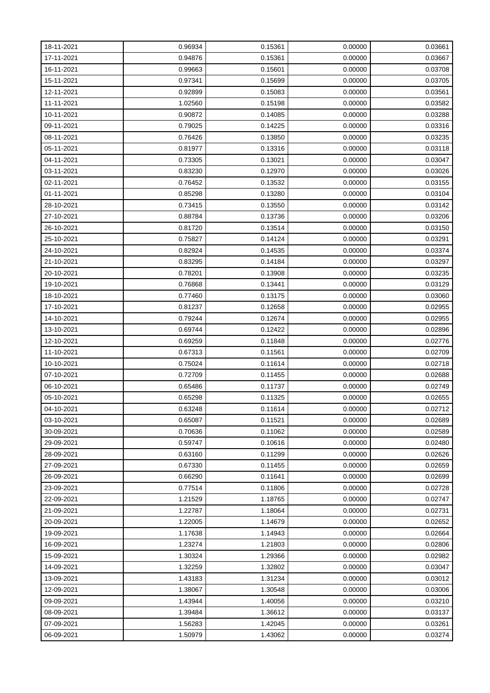| 18-11-2021 | 0.96934 | 0.15361 | 0.00000 | 0.03661 |
|------------|---------|---------|---------|---------|
| 17-11-2021 | 0.94876 | 0.15361 | 0.00000 | 0.03667 |
| 16-11-2021 | 0.99663 | 0.15601 | 0.00000 | 0.03708 |
| 15-11-2021 | 0.97341 | 0.15699 | 0.00000 | 0.03705 |
| 12-11-2021 | 0.92899 | 0.15083 | 0.00000 | 0.03561 |
| 11-11-2021 | 1.02560 | 0.15198 | 0.00000 | 0.03582 |
| 10-11-2021 | 0.90872 | 0.14085 | 0.00000 | 0.03288 |
| 09-11-2021 | 0.79025 | 0.14225 | 0.00000 | 0.03316 |
| 08-11-2021 | 0.76426 | 0.13850 | 0.00000 | 0.03235 |
| 05-11-2021 | 0.81977 | 0.13316 | 0.00000 | 0.03118 |
| 04-11-2021 | 0.73305 | 0.13021 | 0.00000 | 0.03047 |
| 03-11-2021 | 0.83230 | 0.12970 | 0.00000 | 0.03026 |
| 02-11-2021 | 0.76452 | 0.13532 | 0.00000 | 0.03155 |
| 01-11-2021 | 0.85298 | 0.13280 | 0.00000 | 0.03104 |
| 28-10-2021 | 0.73415 | 0.13550 | 0.00000 | 0.03142 |
| 27-10-2021 | 0.88784 | 0.13736 | 0.00000 | 0.03206 |
| 26-10-2021 | 0.81720 | 0.13514 | 0.00000 | 0.03150 |
| 25-10-2021 | 0.75827 | 0.14124 | 0.00000 | 0.03291 |
| 24-10-2021 | 0.82924 | 0.14535 | 0.00000 | 0.03374 |
| 21-10-2021 | 0.83295 | 0.14184 | 0.00000 | 0.03297 |
| 20-10-2021 | 0.78201 | 0.13908 | 0.00000 | 0.03235 |
| 19-10-2021 | 0.76868 | 0.13441 | 0.00000 | 0.03129 |
| 18-10-2021 | 0.77460 | 0.13175 | 0.00000 | 0.03060 |
| 17-10-2021 | 0.81237 | 0.12658 | 0.00000 | 0.02955 |
| 14-10-2021 | 0.79244 | 0.12674 | 0.00000 | 0.02955 |
| 13-10-2021 | 0.69744 | 0.12422 | 0.00000 | 0.02896 |
| 12-10-2021 | 0.69259 | 0.11848 | 0.00000 | 0.02776 |
| 11-10-2021 | 0.67313 | 0.11561 | 0.00000 | 0.02709 |
| 10-10-2021 | 0.75024 | 0.11614 | 0.00000 | 0.02718 |
| 07-10-2021 | 0.72709 | 0.11455 | 0.00000 | 0.02688 |
| 06-10-2021 | 0.65486 | 0.11737 | 0.00000 | 0.02749 |
| 05-10-2021 | 0.65298 | 0.11325 | 0.00000 | 0.02655 |
| 04-10-2021 | 0.63248 | 0.11614 | 0.00000 | 0.02712 |
| 03-10-2021 | 0.65087 | 0.11521 | 0.00000 | 0.02689 |
| 30-09-2021 | 0.70636 | 0.11062 | 0.00000 | 0.02589 |
| 29-09-2021 | 0.59747 | 0.10616 | 0.00000 | 0.02480 |
| 28-09-2021 | 0.63160 | 0.11299 | 0.00000 | 0.02626 |
| 27-09-2021 | 0.67330 | 0.11455 | 0.00000 | 0.02659 |
| 26-09-2021 | 0.66290 | 0.11641 | 0.00000 | 0.02699 |
| 23-09-2021 | 0.77514 | 0.11806 | 0.00000 | 0.02728 |
| 22-09-2021 | 1.21529 | 1.18765 | 0.00000 | 0.02747 |
| 21-09-2021 | 1.22787 | 1.18064 | 0.00000 | 0.02731 |
| 20-09-2021 | 1.22005 | 1.14679 | 0.00000 | 0.02652 |
| 19-09-2021 | 1.17638 | 1.14943 | 0.00000 | 0.02664 |
| 16-09-2021 | 1.23274 | 1.21803 | 0.00000 | 0.02806 |
| 15-09-2021 | 1.30324 | 1.29366 | 0.00000 | 0.02982 |
| 14-09-2021 | 1.32259 | 1.32802 | 0.00000 | 0.03047 |
| 13-09-2021 | 1.43183 | 1.31234 | 0.00000 | 0.03012 |
| 12-09-2021 | 1.38067 | 1.30548 | 0.00000 | 0.03006 |
| 09-09-2021 | 1.43944 | 1.40056 | 0.00000 | 0.03210 |
| 08-09-2021 | 1.39484 | 1.36612 | 0.00000 | 0.03137 |
| 07-09-2021 | 1.56283 | 1.42045 | 0.00000 | 0.03261 |
| 06-09-2021 | 1.50979 | 1.43062 | 0.00000 | 0.03274 |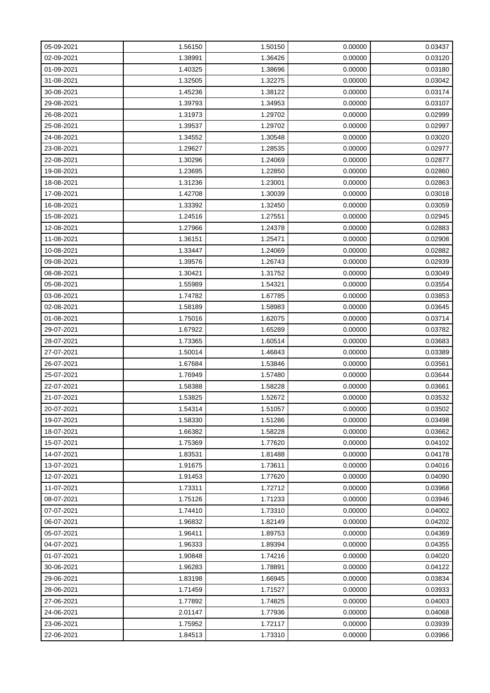| 05-09-2021 | 1.56150 | 1.50150 | 0.00000 | 0.03437 |
|------------|---------|---------|---------|---------|
| 02-09-2021 | 1.38991 | 1.36426 | 0.00000 | 0.03120 |
| 01-09-2021 | 1.40325 | 1.38696 | 0.00000 | 0.03180 |
| 31-08-2021 | 1.32505 | 1.32275 | 0.00000 | 0.03042 |
| 30-08-2021 | 1.45236 | 1.38122 | 0.00000 | 0.03174 |
| 29-08-2021 | 1.39793 | 1.34953 | 0.00000 | 0.03107 |
| 26-08-2021 | 1.31973 | 1.29702 | 0.00000 | 0.02999 |
| 25-08-2021 | 1.39537 | 1.29702 | 0.00000 | 0.02997 |
| 24-08-2021 | 1.34552 | 1.30548 | 0.00000 | 0.03020 |
| 23-08-2021 | 1.29627 | 1.28535 | 0.00000 | 0.02977 |
| 22-08-2021 | 1.30296 | 1.24069 | 0.00000 | 0.02877 |
| 19-08-2021 | 1.23695 | 1.22850 | 0.00000 | 0.02860 |
| 18-08-2021 | 1.31236 | 1.23001 | 0.00000 | 0.02863 |
| 17-08-2021 | 1.42708 | 1.30039 | 0.00000 | 0.03018 |
| 16-08-2021 | 1.33392 | 1.32450 | 0.00000 | 0.03059 |
| 15-08-2021 | 1.24516 | 1.27551 | 0.00000 | 0.02945 |
| 12-08-2021 | 1.27966 | 1.24378 | 0.00000 | 0.02883 |
| 11-08-2021 | 1.36151 | 1.25471 | 0.00000 | 0.02908 |
| 10-08-2021 | 1.33447 | 1.24069 | 0.00000 | 0.02882 |
| 09-08-2021 | 1.39576 | 1.26743 | 0.00000 | 0.02939 |
| 08-08-2021 | 1.30421 | 1.31752 | 0.00000 | 0.03049 |
| 05-08-2021 | 1.55989 | 1.54321 | 0.00000 | 0.03554 |
| 03-08-2021 | 1.74782 | 1.67785 | 0.00000 | 0.03853 |
| 02-08-2021 | 1.58189 | 1.58983 | 0.00000 | 0.03645 |
| 01-08-2021 | 1.75016 | 1.62075 | 0.00000 | 0.03714 |
| 29-07-2021 | 1.67922 | 1.65289 | 0.00000 | 0.03782 |
| 28-07-2021 | 1.73365 | 1.60514 | 0.00000 | 0.03683 |
| 27-07-2021 | 1.50014 | 1.46843 | 0.00000 | 0.03389 |
| 26-07-2021 | 1.67684 | 1.53846 | 0.00000 | 0.03561 |
| 25-07-2021 | 1.76949 | 1.57480 | 0.00000 | 0.03644 |
| 22-07-2021 | 1.58388 | 1.58228 | 0.00000 | 0.03661 |
| 21-07-2021 | 1.53825 | 1.52672 | 0.00000 | 0.03532 |
| 20-07-2021 | 1.54314 | 1.51057 | 0.00000 | 0.03502 |
| 19-07-2021 | 1.58330 | 1.51286 | 0.00000 | 0.03498 |
| 18-07-2021 | 1.66382 | 1.58228 | 0.00000 | 0.03662 |
| 15-07-2021 | 1.75369 | 1.77620 | 0.00000 | 0.04102 |
| 14-07-2021 | 1.83531 | 1.81488 | 0.00000 | 0.04178 |
| 13-07-2021 | 1.91675 | 1.73611 | 0.00000 | 0.04016 |
| 12-07-2021 | 1.91453 | 1.77620 | 0.00000 | 0.04090 |
| 11-07-2021 | 1.73311 | 1.72712 | 0.00000 | 0.03968 |
| 08-07-2021 | 1.75126 | 1.71233 | 0.00000 | 0.03946 |
| 07-07-2021 | 1.74410 | 1.73310 | 0.00000 | 0.04002 |
| 06-07-2021 | 1.96832 | 1.82149 | 0.00000 | 0.04202 |
| 05-07-2021 | 1.96411 | 1.89753 | 0.00000 | 0.04369 |
| 04-07-2021 | 1.96333 | 1.89394 | 0.00000 | 0.04355 |
| 01-07-2021 | 1.90848 | 1.74216 | 0.00000 | 0.04020 |
| 30-06-2021 | 1.96283 | 1.78891 | 0.00000 | 0.04122 |
| 29-06-2021 | 1.83198 | 1.66945 | 0.00000 | 0.03834 |
| 28-06-2021 | 1.71459 | 1.71527 | 0.00000 | 0.03933 |
| 27-06-2021 | 1.77892 | 1.74825 | 0.00000 | 0.04003 |
| 24-06-2021 | 2.01147 | 1.77936 | 0.00000 | 0.04068 |
| 23-06-2021 | 1.75952 | 1.72117 | 0.00000 | 0.03939 |
| 22-06-2021 | 1.84513 | 1.73310 | 0.00000 | 0.03966 |